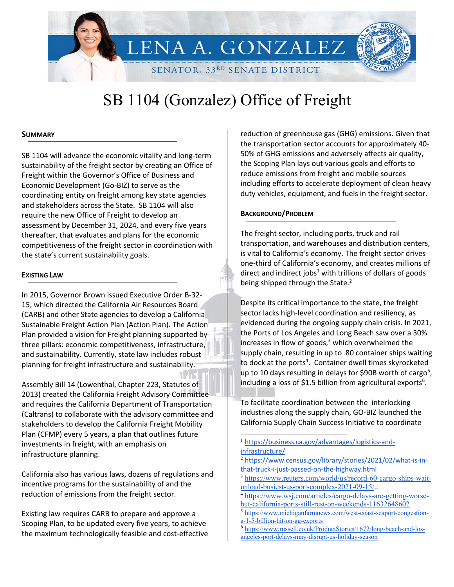

# SB 1104 (Gonzalez) Office of Freight

#### **SUMMARY**

SB 1104 will advance the economic vitality and long-term sustainability of the freight sector by creating an Office of Freight within the Governor's Office of Business and Economic Development (Go-BIZ) to serve as the coordinating entity on freight among key state agencies and stakeholders across the State. SB 1104 will also require the new Office of Freight to develop an assessment by December 31, 2024, and every five years thereafter, that evaluates and plans for the economic competitiveness of the freight sector in coordination with the state's current sustainability goals.

#### **EXISTING LAW**

In 2015, Governor Brown issued Executive Order B-32- 15, which directed the California Air Resources Board (CARB) and other State agencies to develop a California Sustainable Freight Action Plan (Action Plan). The Action Plan provided a vision for Freight planning supported by three pillars: economic competitiveness, infrastructure, and sustainability. Currently, state law includes robust planning for freight infrastructure and sustainability.

Assembly Bill 14 (Lowenthal, Chapter 223, Statutes of 2013) created the California Freight Advisory Committee and requires the California Department of Transportation (Caltrans) to collaborate with the advisory committee and stakeholders to develop the California Freight Mobility Plan (CFMP) every 5 years, a plan that outlines future investments in freight, with an emphasis on infrastructure planning.

California also has various laws, dozens of regulations and incentive programs for the sustainability of and the reduction of emissions from the freight sector.

Existing law requires CARB to prepare and approve a Scoping Plan, to be updated every five years, to achieve the maximum technologically feasible and cost-effective reduction of greenhouse gas (GHG) emissions. Given that the transportation sector accounts for approximately 40- 50% of GHG emissions and adversely affects air quality, the Scoping Plan lays out various goals and efforts to reduce emissions from freight and mobile sources including efforts to accelerate deployment of clean heavy duty vehicles, equipment, and fuels in the freight sector.

#### **BACKGROUND/PROBLEM**

The freight sector, including ports, truck and rail transportation, and warehouses and distribution centers, is vital to California's economy. The freight sector drives one-third of California's economy, and creates millions of direct and indirect jobs $1$  with trillions of dollars of goods being shipped through the State.<sup>2</sup>

Despite its critical importance to the state, the freight sector lacks high-level coordination and resiliency, as evidenced during the ongoing supply chain crisis. In 2021, the Ports of Los Angeles and Long Beach saw over a 30% increases in flow of goods, <sup>3</sup> which overwhelmed the supply chain, resulting in up to 80 container ships waiting to dock at the ports<sup>4</sup>. Container dwell times skyrocketed up to 10 days resulting in delays for \$90B worth of cargo<sup>5</sup>, including a loss of \$1.5 billion from agricultural exports $6$ .

To facilitate coordination between the interlocking industries along the supply chain, GO-BIZ launched the California Supply Chain Success Initiative to coordinate

<sup>2</sup> https://www.census.gov/library/stories/2021/02/what-is-inthat-truck-i-just-passed-on-the-highway.html

<sup>1</sup> https://business.ca.gov/advantages/logistics-andinfrastructure/

<sup>&</sup>lt;sup>3</sup> https://www.reuters.com/world/us/record-60-cargo-ships-waitunload-busiest-us-port-complex-2021-09-15/..

<sup>4</sup> https://www.wsj.com/articles/cargo-delays-are-getting-worsebut-california-ports-still-rest-on-weekends-11632648602

<sup>5</sup> https://www.michiganfarmnews.com/west-coast-seaport-congestiona-1-5-billion-hit-on-ag-exports

<sup>&</sup>lt;sup>6</sup> https://www.russell.co.uk/ProductStories/1672/long-beach-and-losangeles-port-delays-may-disrupt-us-holiday-season